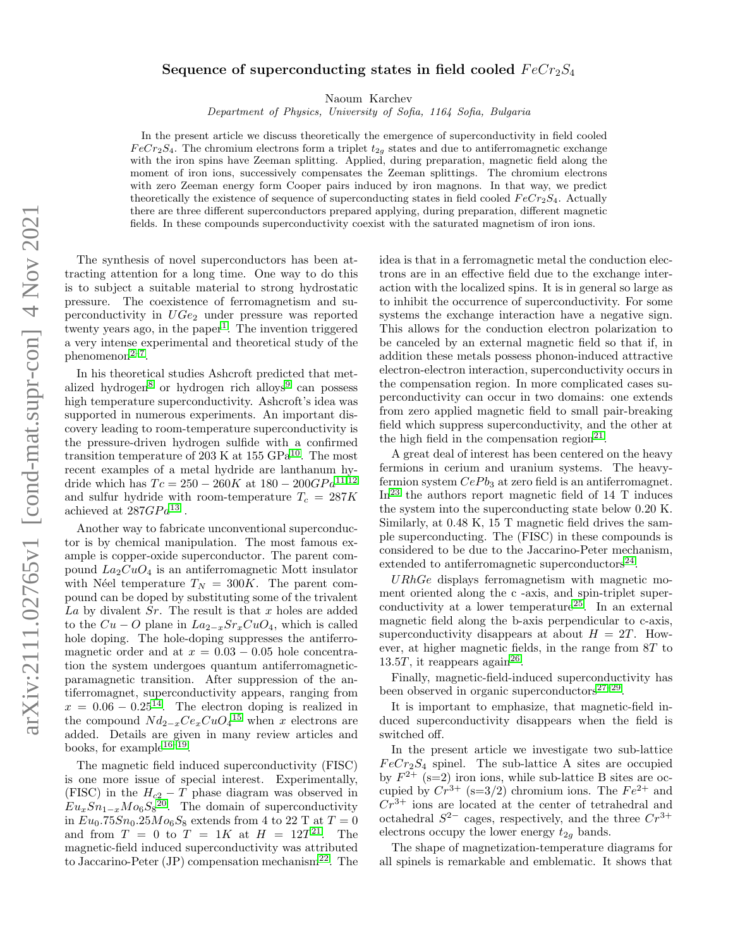## Sequence of superconducting states in field cooled  $FeCr<sub>2</sub>S<sub>4</sub>$

Naoum Karchev

Department of Physics, University of Sofia, 1164 Sofia, Bulgaria

In the present article we discuss theoretically the emergence of superconductivity in field cooled  $FeCr<sub>2</sub>S<sub>4</sub>$ . The chromium electrons form a triplet  $t<sub>2g</sub>$  states and due to antiferromagnetic exchange with the iron spins have Zeeman splitting. Applied, during preparation, magnetic field along the moment of iron ions, successively compensates the Zeeman splittings. The chromium electrons with zero Zeeman energy form Cooper pairs induced by iron magnons. In that way, we predict theoretically the existence of sequence of superconducting states in field cooled  $FeCr<sub>2</sub>S<sub>4</sub>$ . Actually there are three different superconductors prepared applying, during preparation, different magnetic fields. In these compounds superconductivity coexist with the saturated magnetism of iron ions.

The synthesis of novel superconductors has been attracting attention for a long time. One way to do this is to subject a suitable material to strong hydrostatic pressure. The coexistence of ferromagnetism and superconductivity in  $UGe_2$  under pressure was reported twenty years ago, in the paper<sup>[1](#page-4-0)</sup>. The invention triggered a very intense experimental and theoretical study of the  $phenomenon<sup>2-7</sup>$  $phenomenon<sup>2-7</sup>$  $phenomenon<sup>2-7</sup>$ .

In his theoretical studies Ashcroft predicted that met-alized hydrogen<sup>[8](#page-4-3)</sup> or hydrogen rich alloys<sup>[9](#page-4-4)</sup> can possess high temperature superconductivity. Ashcroft's idea was supported in numerous experiments. An important discovery leading to room-temperature superconductivity is the pressure-driven hydrogen sulfide with a confirmed transition temperature of 203 K at  $155 \text{ GPa}^{10}$  $155 \text{ GPa}^{10}$  $155 \text{ GPa}^{10}$ . The most recent examples of a metal hydride are lanthanum hydride which has  $Tc = 250 - 260K$  at  $180 - 200GPa^{11,12}$  $180 - 200GPa^{11,12}$  $180 - 200GPa^{11,12}$  $180 - 200GPa^{11,12}$ and sulfur hydride with room-temperature  $T_c = 287K$ achieved at  $287GPa^{13}$  $287GPa^{13}$  $287GPa^{13}$ .

Another way to fabricate unconventional superconductor is by chemical manipulation. The most famous example is copper-oxide superconductor. The parent compound  $La_2CuO_4$  is an antiferromagnetic Mott insulator with N'eel temperature  $T_N = 300K$ . The parent compound can be doped by substituting some of the trivalent La by divalent  $Sr$ . The result is that x holes are added to the  $Cu - O$  plane in  $La_{2-x}Sr_xCuO_4$ , which is called hole doping. The hole-doping suppresses the antiferromagnetic order and at  $x = 0.03 - 0.05$  hole concentration the system undergoes quantum antiferromagneticparamagnetic transition. After suppression of the antiferromagnet, superconductivity appears, ranging from  $x = 0.06 - 0.25^{14}$  $x = 0.06 - 0.25^{14}$  $x = 0.06 - 0.25^{14}$ . The electron doping is realized in the compound  $Nd_{2-x}Ce_xCuO_4^{15}$  $Nd_{2-x}Ce_xCuO_4^{15}$  $Nd_{2-x}Ce_xCuO_4^{15}$  when x electrons are added. Details are given in many review articles and books, for example<sup>[16](#page-4-11)[–19](#page-4-12)</sup>.

The magnetic field induced superconductivity (FISC) is one more issue of special interest. Experimentally, (FISC) in the  $H_{c2} - T$  phase diagram was observed in  $Eu<sub>x</sub>Sn<sub>1-x</sub>Mo<sub>6</sub>S<sub>8</sub><sup>20</sup>$  $Eu<sub>x</sub>Sn<sub>1-x</sub>Mo<sub>6</sub>S<sub>8</sub><sup>20</sup>$  $Eu<sub>x</sub>Sn<sub>1-x</sub>Mo<sub>6</sub>S<sub>8</sub><sup>20</sup>$ . The domain of superconductivity in  $Eu_0.75Sn_0.25Mo_6S_8$  extends from 4 to 22 T at  $T = 0$ and from  $T = 0$  to  $T = 1K$  at  $H = 12T^{21}$  $H = 12T^{21}$  $H = 12T^{21}$ . The magnetic-field induced superconductivity was attributed to Jaccarino-Peter (JP) compensation mechanism<sup>[22](#page-4-15)</sup>. The idea is that in a ferromagnetic metal the conduction electrons are in an effective field due to the exchange interaction with the localized spins. It is in general so large as to inhibit the occurrence of superconductivity. For some systems the exchange interaction have a negative sign. This allows for the conduction electron polarization to be canceled by an external magnetic field so that if, in addition these metals possess phonon-induced attractive electron-electron interaction, superconductivity occurs in the compensation region. In more complicated cases superconductivity can occur in two domains: one extends from zero applied magnetic field to small pair-breaking field which suppress superconductivity, and the other at the high field in the compensation region<sup>[21](#page-4-14)</sup>.

A great deal of interest has been centered on the heavy fermions in cerium and uranium systems. The heavyfermion system  $CePb_3$  at zero field is an antiferromagnet.  $\text{In}^{23}$  $\text{In}^{23}$  $\text{In}^{23}$  the authors report magnetic field of 14 T induces the system into the superconducting state below 0.20 K. Similarly, at 0.48 K, 15 T magnetic field drives the sample superconducting. The (FISC) in these compounds is considered to be due to the Jaccarino-Peter mechanism, extended to antiferromagnetic superconductors<sup>[24](#page-4-17)</sup>.

 $URhGe$  displays ferromagnetism with magnetic moment oriented along the c -axis, and spin-triplet super-conductivity at a lower temperature<sup>[25](#page-4-18)</sup>. In an external magnetic field along the b-axis perpendicular to c-axis, superconductivity disappears at about  $H = 2T$ . However, at higher magnetic fields, in the range from 8T to 13.5T, it reappears again<sup>[26](#page-4-19)</sup>.

Finally, magnetic-field-induced superconductivity has been observed in organic superconductors $27-29$  $27-29$ .

It is important to emphasize, that magnetic-field induced superconductivity disappears when the field is switched off.

In the present article we investigate two sub-lattice  $FeCr<sub>2</sub>S<sub>4</sub>$  spinel. The sub-lattice A sites are occupied by  $F^{2+}$  (s=2) iron ions, while sub-lattice B sites are occupied by  $Cr^{3+}$  (s=3/2) chromium ions. The  $Fe^{2+}$  and  $Cr^{3+}$  ions are located at the center of tetrahedral and octahedral  $S^{2-}$  cages, respectively, and the three  $Cr^{3+}$ electrons occupy the lower energy  $t_{2q}$  bands.

The shape of magnetization-temperature diagrams for all spinels is remarkable and emblematic. It shows that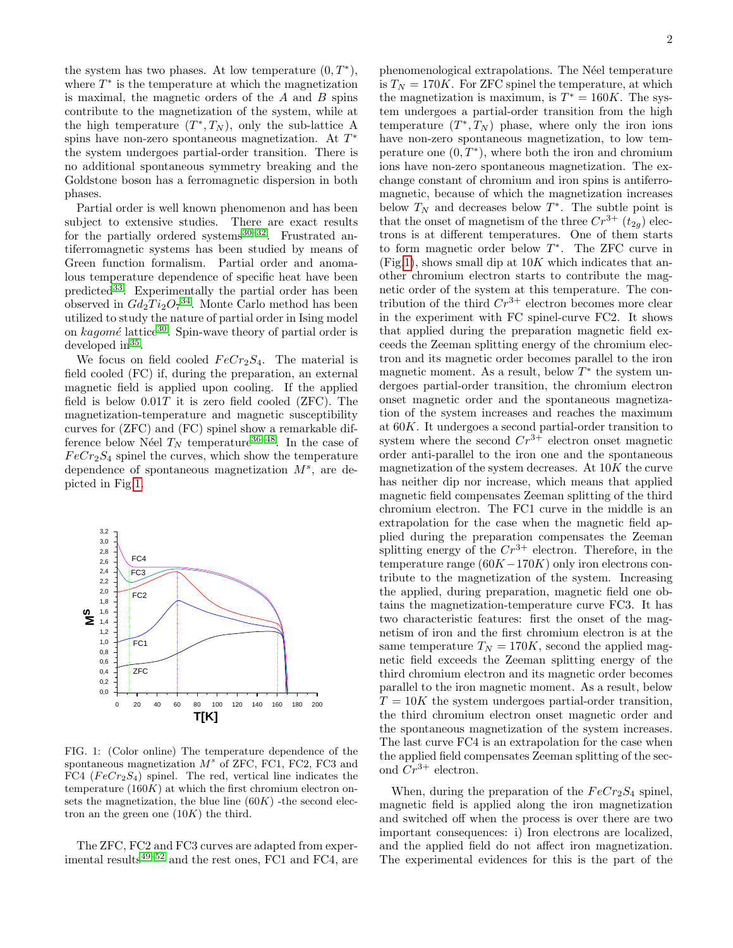the system has two phases. At low temperature  $(0, T^*),$ where  $T^*$  is the temperature at which the magnetization is maximal, the magnetic orders of the  $A$  and  $B$  spins contribute to the magnetization of the system, while at the high temperature  $(T^*,T_N)$ , only the sub-lattice A spins have non-zero spontaneous magnetization. At  $T^*$ the system undergoes partial-order transition. There is no additional spontaneous symmetry breaking and the Goldstone boson has a ferromagnetic dispersion in both phases.

Partial order is well known phenomenon and has been subject to extensive studies. There are exact results for the partially ordered systems  $30-32$  $30-32$ . Frustrated antiferromagnetic systems has been studied by means of Green function formalism. Partial order and anomalous temperature dependence of specific heat have been predicted[33](#page-4-24). Experimentally the partial order has been observed in  $Gd_2Ti_2O_7^{34}$  $Gd_2Ti_2O_7^{34}$  $Gd_2Ti_2O_7^{34}$ . Monte Carlo method has been utilized to study the nature of partial order in Ising model on  $kaqom\acute{e}$  lattice<sup>[30](#page-4-22)</sup>. Spin-wave theory of partial order is developed in<sup>[35](#page-5-0)</sup>.

We focus on field cooled  $FeCr<sub>2</sub>S<sub>4</sub>$ . The material is field cooled (FC) if, during the preparation, an external magnetic field is applied upon cooling. If the applied field is below  $0.01T$  it is zero field cooled (ZFC). The magnetization-temperature and magnetic susceptibility curves for (ZFC) and (FC) spinel show a remarkable difference below Néel  $T_N$  temperature<sup>[36](#page-5-1)[–48](#page-5-2)</sup>. In the case of  $FeCr<sub>2</sub>S<sub>4</sub>$  spinel the curves, which show the temperature dependence of spontaneous magnetization  $M^s$ , are depicted in Fig[.1.](#page-1-0)



<span id="page-1-0"></span>FIG. 1: (Color online) The temperature dependence of the spontaneous magnetization  $M^s$  of ZFC, FC1, FC2, FC3 and FC4 ( $FeCr<sub>2</sub>S<sub>4</sub>$ ) spinel. The red, vertical line indicates the temperature  $(160K)$  at which the first chromium electron onsets the magnetization, the blue line  $(60K)$  -the second electron an the green one  $(10K)$  the third.

The ZFC, FC2 and FC3 curves are adapted from exper-imental results<sup>[49–](#page-5-3)[52](#page-5-4)</sup> and the rest ones, FC1 and FC4, are

phenomenological extrapolations. The Néel temperature is  $T_N = 170K$ . For ZFC spinel the temperature, at which the magnetization is maximum, is  $T^* = 160K$ . The system undergoes a partial-order transition from the high temperature  $(T^*, T_N)$  phase, where only the iron ions have non-zero spontaneous magnetization, to low temperature one  $(0, T^*)$ , where both the iron and chromium ions have non-zero spontaneous magnetization. The exchange constant of chromium and iron spins is antiferromagnetic, because of which the magnetization increases below  $T_N$  and decreases below  $T^*$ . The subtle point is that the onset of magnetism of the three  $Cr^{3+}$  ( $t_{2q}$ ) electrons is at different temperatures. One of them starts to form magnetic order below  $T^*$ . The ZFC curve in  $(Fig.1)$  $(Fig.1)$ , shows small dip at  $10K$  which indicates that another chromium electron starts to contribute the magnetic order of the system at this temperature. The contribution of the third  $Cr^{3+}$  electron becomes more clear in the experiment with FC spinel-curve FC2. It shows that applied during the preparation magnetic field exceeds the Zeeman splitting energy of the chromium electron and its magnetic order becomes parallel to the iron magnetic moment. As a result, below  $T^*$  the system undergoes partial-order transition, the chromium electron onset magnetic order and the spontaneous magnetization of the system increases and reaches the maximum at 60K. It undergoes a second partial-order transition to system where the second  $Cr^{3+}$  electron onset magnetic order anti-parallel to the iron one and the spontaneous magnetization of the system decreases. At  $10K$  the curve has neither dip nor increase, which means that applied magnetic field compensates Zeeman splitting of the third chromium electron. The FC1 curve in the middle is an extrapolation for the case when the magnetic field applied during the preparation compensates the Zeeman splitting energy of the  $Cr^{3+}$  electron. Therefore, in the temperature range  $(60K-170K)$  only iron electrons contribute to the magnetization of the system. Increasing the applied, during preparation, magnetic field one obtains the magnetization-temperature curve FC3. It has two characteristic features: first the onset of the magnetism of iron and the first chromium electron is at the same temperature  $T_N = 170K$ , second the applied magnetic field exceeds the Zeeman splitting energy of the third chromium electron and its magnetic order becomes parallel to the iron magnetic moment. As a result, below  $T = 10K$  the system undergoes partial-order transition, the third chromium electron onset magnetic order and the spontaneous magnetization of the system increases. The last curve FC4 is an extrapolation for the case when the applied field compensates Zeeman splitting of the second  $Cr^{3+}$  electron.

When, during the preparation of the  $FeCr<sub>2</sub>S<sub>4</sub>$  spinel, magnetic field is applied along the iron magnetization and switched off when the process is over there are two important consequences: i) Iron electrons are localized, and the applied field do not affect iron magnetization. The experimental evidences for this is the part of the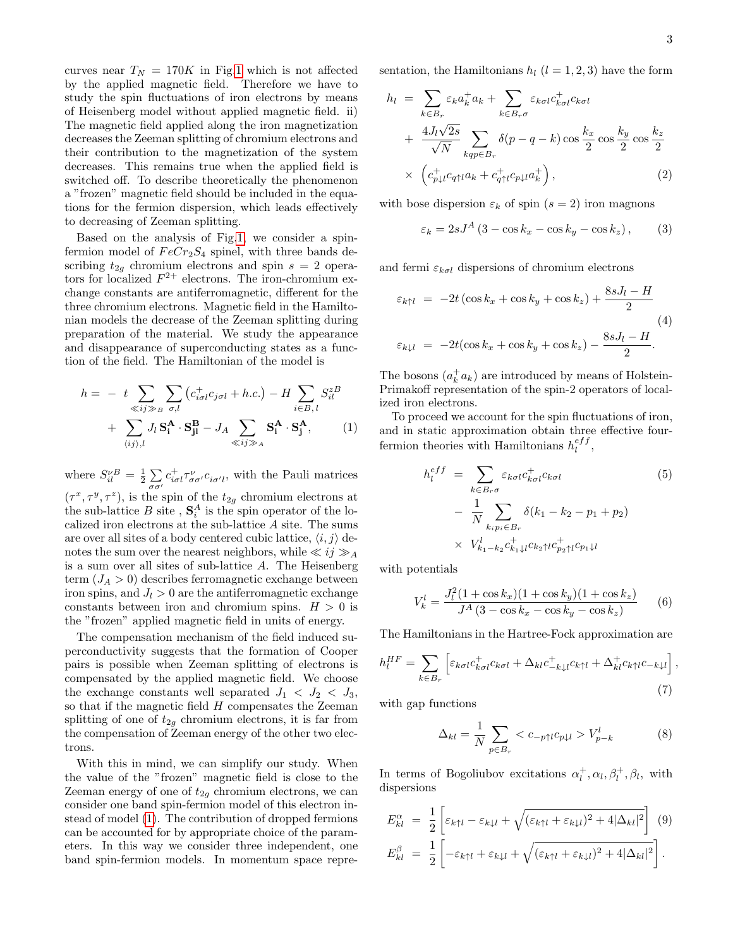curves near  $T_N = 170K$  in Fig[.1](#page-1-0) which is not affected by the applied magnetic field. Therefore we have to study the spin fluctuations of iron electrons by means of Heisenberg model without applied magnetic field. ii) The magnetic field applied along the iron magnetization decreases the Zeeman splitting of chromium electrons and their contribution to the magnetization of the system decreases. This remains true when the applied field is switched off. To describe theoretically the phenomenon a "frozen" magnetic field should be included in the equations for the fermion dispersion, which leads effectively to decreasing of Zeeman splitting.

Based on the analysis of Fig[.1,](#page-1-0) we consider a spinfermion model of  $FeCr<sub>2</sub>S<sub>4</sub>$  spinel, with three bands describing  $t_{2g}$  chromium electrons and spin  $s = 2$  operators for localized  $F^{2+}$  electrons. The iron-chromium exchange constants are antiferromagnetic, different for the three chromium electrons. Magnetic field in the Hamiltonian models the decrease of the Zeeman splitting during preparation of the material. We study the appearance and disappearance of superconducting states as a function of the field. The Hamiltonian of the model is

<span id="page-2-0"></span>
$$
h = - t \sum_{\ll ij \gg B} \sum_{\sigma,l} (c_{i\sigma l}^+ c_{j\sigma l} + h.c.) - H \sum_{i \in B, l} S_{il}^{zB} + \sum_{\langle ij \rangle, l} J_l S_i^A \cdot S_{jl}^B - J_A \sum_{\ll ij \gg A} S_i^A \cdot S_j^A, \tag{1}
$$

where  $S_{il}^{\nu}{}^{B} = \frac{1}{2} \sum_{l}$  $\sigma\sigma'$  $c_{i\sigma l}^{+}\tau_{\sigma\sigma}^{\nu}c_{i\sigma' l}$ , with the Pauli matrices  $(\tau^x, \tau^y, \tau^z)$ , is the spin of the  $t_{2g}$  chromium electrons at the sub-lattice B site ,  $S_i^A$  is the spin operator of the localized iron electrons at the sub-lattice A site. The sums are over all sites of a body centered cubic lattice,  $\langle i, j \rangle$  denotes the sum over the nearest neighbors, while  $\ll ij \gg_A$ is a sum over all sites of sub-lattice A. The Heisenberg term  $(J_A > 0)$  describes ferromagnetic exchange between iron spins, and  $J_l > 0$  are the antiferromagnetic exchange constants between iron and chromium spins.  $H > 0$  is the "frozen" applied magnetic field in units of energy.

The compensation mechanism of the field induced superconductivity suggests that the formation of Cooper pairs is possible when Zeeman splitting of electrons is compensated by the applied magnetic field. We choose the exchange constants well separated  $J_1 < J_2 < J_3$ , so that if the magnetic field  $H$  compensates the Zeeman splitting of one of  $t_{2g}$  chromium electrons, it is far from the compensation of Zeeman energy of the other two electrons.

With this in mind, we can simplify our study. When the value of the "frozen" magnetic field is close to the Zeeman energy of one of  $t_{2q}$  chromium electrons, we can consider one band spin-fermion model of this electron instead of model [\(1\)](#page-2-0). The contribution of dropped fermions can be accounted for by appropriate choice of the parameters. In this way we consider three independent, one band spin-fermion models. In momentum space representation, the Hamiltonians  $h_l$  ( $l = 1, 2, 3$ ) have the form

$$
h_{l} = \sum_{k \in B_{r}} \varepsilon_{k} a_{k}^{+} a_{k} + \sum_{k \in B_{r} \sigma} \varepsilon_{k\sigma l} c_{k\sigma l}^{+} c_{k\sigma l} + \frac{4J_{l}\sqrt{2s}}{\sqrt{N}} \sum_{kq p \in B_{r}} \delta(p - q - k) \cos \frac{k_{x}}{2} \cos \frac{k_{y}}{2} \cos \frac{k_{z}}{2} \times \left( c_{p\downarrow l}^{+} c_{q\uparrow l} a_{k} + c_{q\uparrow l}^{+} c_{p\downarrow l} a_{k}^{+} \right), \tag{2}
$$

with bose dispersion  $\varepsilon_k$  of spin  $(s = 2)$  iron magnons

$$
\varepsilon_k = 2sJ^A \left( 3 - \cos k_x - \cos k_y - \cos k_z \right), \qquad (3)
$$

and fermi  $\varepsilon_{k\sigma l}$  dispersions of chromium electrons

<span id="page-2-1"></span>
$$
\varepsilon_{k\uparrow l} = -2t\left(\cos k_x + \cos k_y + \cos k_z\right) + \frac{8sJ_l - H}{2}
$$
  

$$
\varepsilon_{k\downarrow l} = -2t(\cos k_x + \cos k_y + \cos k_z) - \frac{8sJ_l - H}{2}.
$$
  
(4)

The bosons  $(a_k^+ a_k)$  are introduced by means of Holstein-Primakoff representation of the spin-2 operators of localized iron electrons.

To proceed we account for the spin fluctuations of iron, and in static approximation obtain three effective fourfermion theories with Hamiltonians  $h_l^{eff}$ ,

$$
h_l^{eff} = \sum_{k \in B_r \sigma} \varepsilon_{k\sigma l} c_{k\sigma l}^{\dagger} c_{k\sigma l}
$$
(5)  

$$
- \frac{1}{N} \sum_{k_i p_i \in B_r} \delta(k_1 - k_2 - p_1 + p_2)
$$
  

$$
\times V_{k_1 - k_2}^l c_{k_1 \downarrow l}^{\dagger} c_{k_2 \uparrow l} c_{p_2 \uparrow l}^{\dagger} c_{p_1 \downarrow l}
$$

with potentials

$$
V_k^l = \frac{J_l^2 (1 + \cos k_x)(1 + \cos k_y)(1 + \cos k_z)}{J^A (3 - \cos k_x - \cos k_y - \cos k_z)}
$$
(6)

The Hamiltonians in the Hartree-Fock approximation are

$$
h_l^{HF} = \sum_{k \in B_r} \left[ \varepsilon_{k\sigma l} c_{k\sigma l}^{\dagger} c_{k\sigma l} + \Delta_{kl} c_{-k\downarrow l}^{\dagger} c_{k\uparrow l} + \Delta_{kl}^{\dagger} c_{k\uparrow l} c_{-k\downarrow l} \right],\tag{7}
$$

with gap functions

$$
\Delta_{kl} = \frac{1}{N} \sum_{p \in B_r} < c_{-p \uparrow l} c_{p \downarrow l} > V_{p-k}^l \tag{8}
$$

In terms of Bogoliubov excitations  $\alpha_l^+, \alpha_l, \beta_l^+, \beta_l$ , with dispersions

$$
E_{kl}^{\alpha} = \frac{1}{2} \left[ \varepsilon_{k\uparrow l} - \varepsilon_{k\downarrow l} + \sqrt{(\varepsilon_{k\uparrow l} + \varepsilon_{k\downarrow l})^2 + 4|\Delta_{kl}|^2} \right] (9)
$$
  

$$
E_{kl}^{\beta} = \frac{1}{2} \left[ -\varepsilon_{k\uparrow l} + \varepsilon_{k\downarrow l} + \sqrt{(\varepsilon_{k\uparrow l} + \varepsilon_{k\downarrow l})^2 + 4|\Delta_{kl}|^2} \right].
$$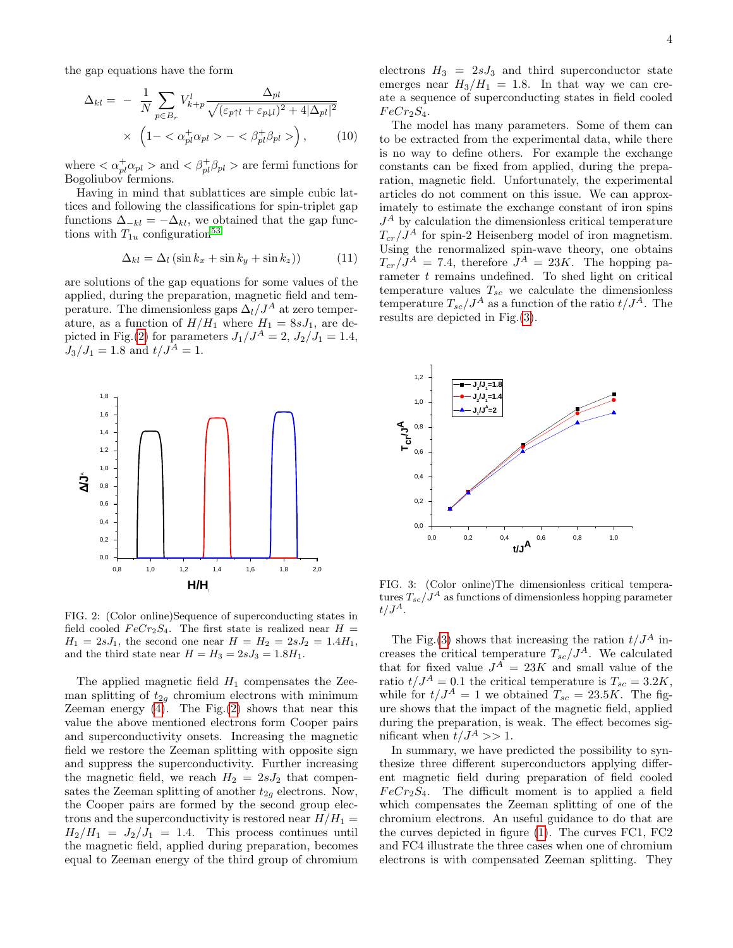the gap equations have the form

$$
\Delta_{kl} = -\frac{1}{N} \sum_{p \in B_r} V_{k+p}^l \frac{\Delta_{pl}}{\sqrt{(\varepsilon_{p\uparrow l} + \varepsilon_{p\downarrow l})^2 + 4|\Delta_{pl}|^2}} \times \left(1 - \langle \alpha_{pl}^+ \alpha_{pl} \rangle - \langle \beta_{pl}^+ \beta_{pl} \rangle \right), \qquad (10)
$$

where  $\langle \alpha_{pl}^{+} \alpha_{pl} \rangle$  and  $\langle \beta_{pl}^{+} \beta_{pl} \rangle$  are fermi functions for Bogoliubov fermions.

Having in mind that sublattices are simple cubic lattices and following the classifications for spin-triplet gap functions  $\Delta_{-kl} = -\Delta_{kl}$ , we obtained that the gap functions with  $T_{1u}$  configuration<sup>[53](#page-5-5)</sup>

$$
\Delta_{kl} = \Delta_l \left( \sin k_x + \sin k_y + \sin k_z \right) \tag{11}
$$

are solutions of the gap equations for some values of the applied, during the preparation, magnetic field and temperature. The dimensionless gaps  $\Delta_l/J^A$  at zero temperature, as a function of  $H/H_1$  where  $H_1 = 8sJ_1$ , are de-picted in Fig.[\(2\)](#page-3-0) for parameters  $J_1/J^A = 2$ ,  $J_2/J_1 = 1.4$ ,  $J_3/J_1 = 1.8$  and  $t/J^A = 1$ .



<span id="page-3-0"></span>FIG. 2: (Color online)Sequence of superconducting states in field cooled  $FeCr_2S_4$ . The first state is realized near  $H =$  $H_1 = 2sJ_1$ , the second one near  $H = H_2 = 2sJ_2 = 1.4H_1$ , and the third state near  $H = H_3 = 2sJ_3 = 1.8H_1$ .

The applied magnetic field  $H_1$  compensates the Zeeman splitting of  $t_{2g}$  chromium electrons with minimum Zeeman energy  $(4)$ . The Fig. $(2)$  shows that near this value the above mentioned electrons form Cooper pairs and superconductivity onsets. Increasing the magnetic field we restore the Zeeman splitting with opposite sign and suppress the superconductivity. Further increasing the magnetic field, we reach  $H_2 = 2sJ_2$  that compensates the Zeeman splitting of another  $t_{2q}$  electrons. Now, the Cooper pairs are formed by the second group electrons and the superconductivity is restored near  $H/H_1 =$  $H_2/H_1 = J_2/J_1 = 1.4$ . This process continues until the magnetic field, applied during preparation, becomes equal to Zeeman energy of the third group of chromium electrons  $H_3 = 2sJ_3$  and third superconductor state emerges near  $H_3/H_1 = 1.8$ . In that way we can create a sequence of superconducting states in field cooled  $FeCr<sub>2</sub>S<sub>4</sub>$ .

The model has many parameters. Some of them can to be extracted from the experimental data, while there is no way to define others. For example the exchange constants can be fixed from applied, during the preparation, magnetic field. Unfortunately, the experimental articles do not comment on this issue. We can approximately to estimate the exchange constant of iron spins  $J<sup>A</sup>$  by calculation the dimensionless critical temperature  $T_{cr}/J^A$  for spin-2 Heisenberg model of iron magnetism. Using the renormalized spin-wave theory, one obtains  $T_{cr}/J^A = 7.4$ , therefore  $J^A = 23K$ . The hopping parameter  $t$  remains undefined. To shed light on critical temperature values  $T_{sc}$  we calculate the dimensionless temperature  $T_{sc}/J^A$  as a function of the ratio  $t/J^A$ . The results are depicted in Fig.[\(3\)](#page-3-1).



<span id="page-3-1"></span>FIG. 3: (Color online)The dimensionless critical temperatures  $T_{sc}/J^A$  as functions of dimensionless hopping parameter  $t/J^A$ .

The Fig.[\(3\)](#page-3-1) shows that increasing the ration  $t/J<sup>A</sup>$  increases the critical temperature  $T_{sc}/J^A$ . We calculated that for fixed value  $J^A = 23K$  and small value of the ratio  $t/J^A = 0.1$  the critical temperature is  $T_{sc} = 3.2K$ , while for  $t/J^A = 1$  we obtained  $T_{sc} = 23.5K$ . The figure shows that the impact of the magnetic field, applied during the preparation, is weak. The effect becomes significant when  $t/J^A >> 1$ .

In summary, we have predicted the possibility to synthesize three different superconductors applying different magnetic field during preparation of field cooled  $FeCr<sub>2</sub>S<sub>4</sub>$ . The difficult moment is to applied a field which compensates the Zeeman splitting of one of the chromium electrons. An useful guidance to do that are the curves depicted in figure [\(1\)](#page-1-0). The curves FC1, FC2 and FC4 illustrate the three cases when one of chromium electrons is with compensated Zeeman splitting. They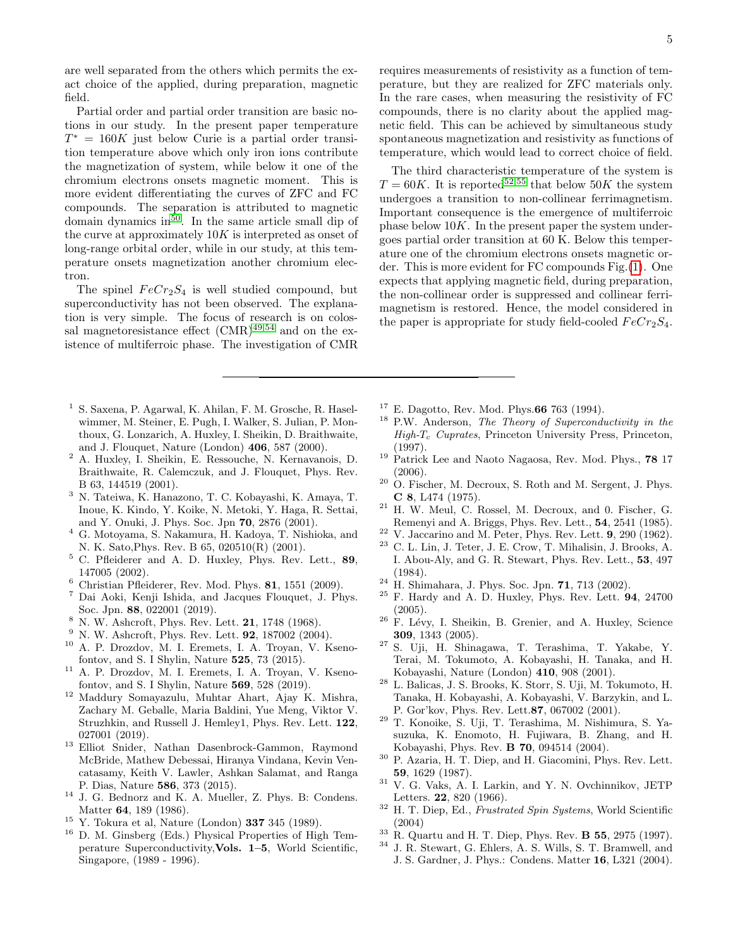are well separated from the others which permits the exact choice of the applied, during preparation, magnetic field.

Partial order and partial order transition are basic notions in our study. In the present paper temperature  $T^* = 160K$  just below Curie is a partial order transition temperature above which only iron ions contribute the magnetization of system, while below it one of the chromium electrons onsets magnetic moment. This is more evident differentiating the curves of ZFC and FC compounds. The separation is attributed to magnetic domain dynamics in<sup>[50](#page-5-6)</sup>. In the same article small dip of the curve at approximately  $10K$  is interpreted as onset of long-range orbital order, while in our study, at this temperature onsets magnetization another chromium electron.

The spinel  $FeCr<sub>2</sub>S<sub>4</sub>$  is well studied compound, but superconductivity has not been observed. The explanation is very simple. The focus of research is on colossal magnetoresistance effect  $(CMR)^{49,54}$  $(CMR)^{49,54}$  $(CMR)^{49,54}$  $(CMR)^{49,54}$  and on the existence of multiferroic phase. The investigation of CMR

- <span id="page-4-0"></span><sup>1</sup> S. Saxena, P. Agarwal, K. Ahilan, F. M. Grosche, R. Haselwimmer, M. Steiner, E. Pugh, I. Walker, S. Julian, P. Monthoux, G. Lonzarich, A. Huxley, I. Sheikin, D. Braithwaite, and J. Flouquet, Nature (London) 406, 587 (2000).
- <span id="page-4-1"></span><sup>2</sup> A. Huxley, I. Sheikin, E. Ressouche, N. Kernavanois, D. Braithwaite, R. Calemczuk, and J. Flouquet, Phys. Rev. B 63, 144519 (2001).
- <sup>3</sup> N. Tateiwa, K. Hanazono, T. C. Kobayashi, K. Amaya, T. Inoue, K. Kindo, Y. Koike, N. Metoki, Y. Haga, R. Settai, and Y. Onuki, J. Phys. Soc. Jpn 70, 2876 (2001).
- <sup>4</sup> G. Motoyama, S. Nakamura, H. Kadoya, T. Nishioka, and N. K. Sato,Phys. Rev. B 65, 020510(R) (2001).
- <sup>5</sup> C. Pfleiderer and A. D. Huxley, Phys. Rev. Lett., 89, 147005 (2002).
- $6$  Christian Pfleiderer, Rev. Mod. Phys. 81, 1551 (2009).
- <span id="page-4-2"></span><sup>7</sup> Dai Aoki, Kenji Ishida, and Jacques Flouquet, J. Phys. Soc. Jpn. 88, 022001 (2019).
- <span id="page-4-3"></span> $8\,$  N. W. Ashcroft, Phys. Rev. Lett. 21, 1748 (1968).
- <span id="page-4-4"></span> $^{9}$  N. W. Ashcroft, Phys. Rev. Lett. **92**, 187002 (2004).
- <span id="page-4-5"></span><sup>10</sup> A. P. Drozdov, M. I. Eremets, I. A. Troyan, V. Ksenofontov, and S. I Shylin, Nature 525, 73 (2015).
- <span id="page-4-6"></span><sup>11</sup> A. P. Drozdov, M. I. Eremets, I. A. Troyan, V. Ksenofontov, and S. I Shylin, Nature 569, 528 (2019).
- <span id="page-4-7"></span><sup>12</sup> Maddury Somayazulu, Muhtar Ahart, Ajay K. Mishra, Zachary M. Geballe, Maria Baldini, Yue Meng, Viktor V. Struzhkin, and Russell J. Hemley1, Phys. Rev. Lett. 122, 027001 (2019).
- <span id="page-4-8"></span><sup>13</sup> Elliot Snider, Nathan Dasenbrock-Gammon, Raymond McBride, Mathew Debessai, Hiranya Vindana, Kevin Vencatasamy, Keith V. Lawler, Ashkan Salamat, and Ranga P. Dias, Nature 586, 373 (2015).
- <span id="page-4-9"></span><sup>14</sup> J. G. Bednorz and K. A. Mueller, Z. Phys. B: Condens. Matter 64, 189 (1986).
- <span id="page-4-10"></span> $15$  Y. Tokura et al, Nature (London) 337 345 (1989).
- <span id="page-4-11"></span><sup>16</sup> D. M. Ginsberg (Eds.) Physical Properties of High Temperature Superconductivity,Vols. 1–5, World Scientific, Singapore, (1989 - 1996).

requires measurements of resistivity as a function of temperature, but they are realized for ZFC materials only. In the rare cases, when measuring the resistivity of FC compounds, there is no clarity about the applied magnetic field. This can be achieved by simultaneous study spontaneous magnetization and resistivity as functions of temperature, which would lead to correct choice of field.

The third characteristic temperature of the system is  $T = 60K$ . It is reported<sup>[52,](#page-5-4)[55](#page-5-8)</sup> that below 50K the system undergoes a transition to non-collinear ferrimagnetism. Important consequence is the emergence of multiferroic phase below  $10K$ . In the present paper the system undergoes partial order transition at 60 K. Below this temperature one of the chromium electrons onsets magnetic order. This is more evident for FC compounds Fig.[\(1\)](#page-1-0). One expects that applying magnetic field, during preparation, the non-collinear order is suppressed and collinear ferrimagnetism is restored. Hence, the model considered in the paper is appropriate for study field-cooled  $FeCr_2S_4$ .

- $17$  E. Dagotto, Rev. Mod. Phys. 66 763 (1994).
- <sup>18</sup> P.W. Anderson, The Theory of Superconductivity in the  $High-T_c$  Cuprates, Princeton University Press, Princeton, (1997).
- <span id="page-4-12"></span><sup>19</sup> Patrick Lee and Naoto Nagaosa, Rev. Mod. Phys., 78 17 (2006).
- <span id="page-4-13"></span><sup>20</sup> O. Fischer, M. Decroux, S. Roth and M. Sergent, J. Phys. C 8, L474 (1975).
- <span id="page-4-14"></span> $21$  H. W. Meul, C. Rossel, M. Decroux, and 0. Fischer, G. Remenyi and A. Briggs, Phys. Rev. Lett., 54, 2541 (1985).
- <span id="page-4-15"></span><sup>22</sup> V. Jaccarino and M. Peter, Phys. Rev. Lett. **9**, 290 (1962).<br><sup>23</sup> C. L. Lin, J. Teter, J. E. Crow, T. Mihaliain, J. Brooks.
- <span id="page-4-16"></span><sup>23</sup> C. L. Lin, J. Teter, J. E. Crow, T. Mihalisin, J. Brooks, A. I. Abou-Aly, and G. R. Stewart, Phys. Rev. Lett., 53, 497 (1984).
- <span id="page-4-17"></span><sup>24</sup> H. Shimahara, J. Phys. Soc. Jpn. 71, 713 (2002).
- <span id="page-4-18"></span><sup>25</sup> F. Hardy and A. D. Huxley, Phys. Rev. Lett. 94, 24700 (2005).
- <span id="page-4-19"></span> $26$  F. Lévy, I. Sheikin, B. Grenier, and A. Huxley, Science 309, 1343 (2005).
- <span id="page-4-20"></span><sup>27</sup> S. Uji, H. Shinagawa, T. Terashima, T. Yakabe, Y. Terai, M. Tokumoto, A. Kobayashi, H. Tanaka, and H. Kobayashi, Nature (London) 410, 908 (2001).
- <sup>28</sup> L. Balicas, J. S. Brooks, K. Storr, S. Uji, M. Tokumoto, H. Tanaka, H. Kobayashi, A. Kobayashi, V. Barzykin, and L. P. Gor'kov, Phys. Rev. Lett.87, 067002 (2001).
- <span id="page-4-21"></span><sup>29</sup> T. Konoike, S. Uji, T. Terashima, M. Nishimura, S. Yasuzuka, K. Enomoto, H. Fujiwara, B. Zhang, and H. Kobayashi, Phys. Rev. B 70, 094514 (2004).
- <span id="page-4-22"></span><sup>30</sup> P. Azaria, H. T. Diep, and H. Giacomini, Phys. Rev. Lett. 59, 1629 (1987).
- <sup>31</sup> V. G. Vaks, A. I. Larkin, and Y. N. Ovchinnikov, JETP Letters. 22, 820 (1966).
- <span id="page-4-23"></span> $32$  H. T. Diep, Ed., *Frustrated Spin Systems*, World Scientific (2004)
- <span id="page-4-24"></span> $33 \text{ R}$ . Quartu and H. T. Diep, Phys. Rev. **B 55**, 2975 (1997).
- <span id="page-4-25"></span><sup>34</sup> J. R. Stewart, G. Ehlers, A. S. Wills, S. T. Bramwell, and J. S. Gardner, J. Phys.: Condens. Matter 16, L321 (2004).